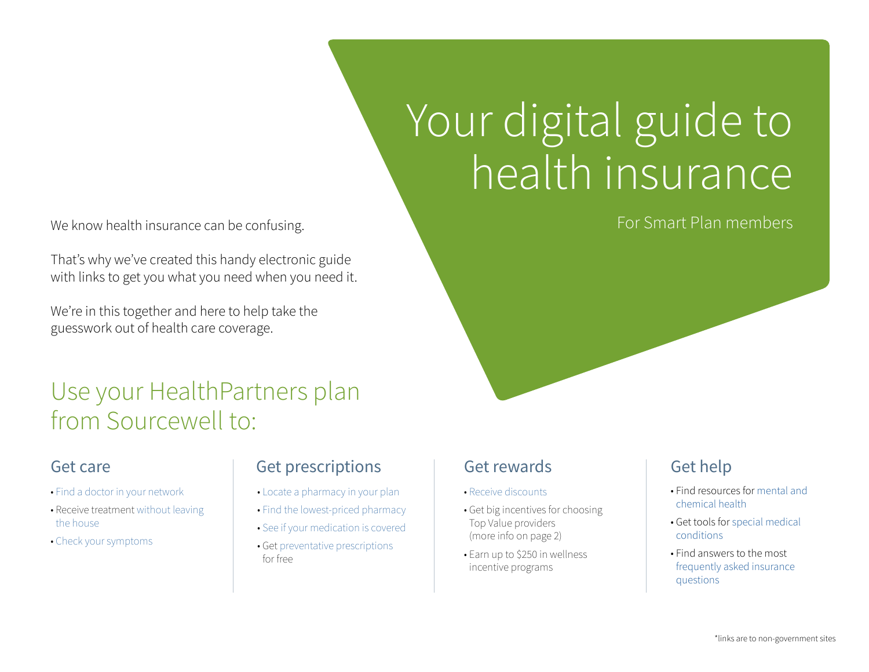We know health insurance can be confusing. The state of the state of the state of the Smart Plan members of the state of the state of the state of the state of the state of the state of the state of the state of the state

That's why we've created this handy electronic guide with links to get you what you need when you need it.

We're in this together and here to help take the guesswork out of health care coverage.

### Use your HealthPartners plan from Sourcewell to:

- [Find a doctor in your network](https://www.healthpartners.com/hp/insurance/find-a-provider/group-medical/index.html)
- Receive treatment [without leaving](https://www.virtuwell.com/)  [the house](https://www.virtuwell.com/)
- [Check your symptoms](https://www.healthwise.net/healthpartners/sxchecker/index)

#### Get care Get prescriptions

- • [Locate a pharmacy in your plan](https://www.healthpartners.com/hp/insurance/find-a-pharmacy/index.html)
- • [Find the lowest-priced pharmacy](https://www.healthpartners.com/hp/pharmacy/pharmacy-services/index.html)
- • [See if your medication is covered](https://www.healthpartners.com/hp/pharmacy/druglist/index.html)
- Get [preventative prescriptions](https://www.healthpartners.com/ucm/groups/public/@hp/@public/documents/documents/cntrb_029693.pdf)  [for free](https://www.healthpartners.com/ucm/groups/public/@hp/@public/documents/documents/cntrb_029693.pdf)

# Your digital guide to health insurance

#### Get rewards

- [Receive discounts](https://www.healthpartners.com/hp/healthy-living/healthy-discounts/index.html)
- Get big incentives for choosing Top Value providers (more info on page 2)
- Earn up to \$250 in wellness incentive programs

#### Get help

- Find resources for [mental and](https://www.healthpartners.com/hp/healthy-living/health-topics/behavioral-health/index.html)  [chemical health](https://www.healthpartners.com/hp/healthy-living/health-topics/behavioral-health/index.html)
- Get tools for [special medical](https://www.healthpartners.com/hp/healthy-living/health-topics/index.html)  [conditions](https://www.healthpartners.com/hp/healthy-living/health-topics/index.html)
- Find answers to the most [frequently asked insurance](https://www.healthpartners.com/hp/insurance/glossary/index.html)  [questions](https://www.healthpartners.com/hp/insurance/glossary/index.html)